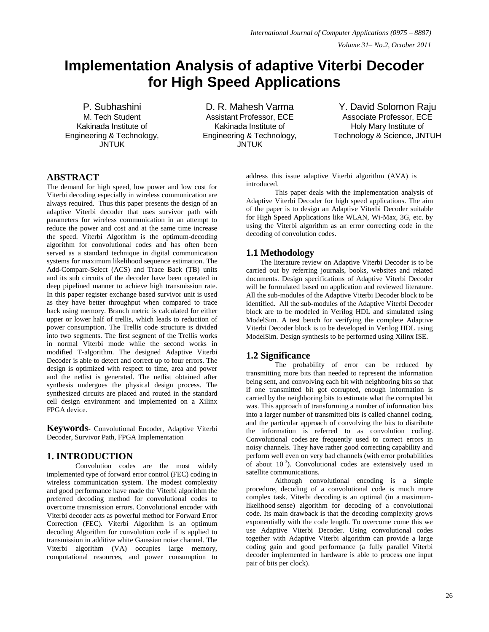*Volume 31– No.2, October 2011*

# **Implementation Analysis of adaptive Viterbi Decoder for High Speed Applications**

P. Subhashini M. Tech Student Kakinada Institute of Engineering & Technology, **JNTUK** 

D. R. Mahesh Varma Assistant Professor, ECE Kakinada Institute of Engineering & Technology, JNTUK

Y. David Solomon Raju Associate Professor, ECE Holy Mary Institute of Technology & Science, JNTUH

# **ABSTRACT**

The demand for high speed, low power and low cost for Viterbi decoding especially in wireless communication are always required. Thus this paper presents the design of an adaptive Viterbi decoder that uses survivor path with parameters for wireless communication in an attempt to reduce the power and cost and at the same time increase the speed. Viterbi Algorithm is the optimum-decoding algorithm for convolutional codes and has often been served as a standard technique in digital communication systems for maximum likelihood sequence estimation. The Add-Compare-Select (ACS) and Trace Back (TB) units and its sub circuits of the decoder have been operated in deep pipelined manner to achieve high transmission rate. In this paper register exchange based survivor unit is used as they have better throughput when compared to trace back using memory. Branch metric is calculated for either upper or lower half of trellis, which leads to reduction of power consumption. The Trellis code structure is divided into two segments. The first segment of the Trellis works in normal Viterbi mode while the second works in modified T-algorithm. The designed Adaptive Viterbi Decoder is able to detect and correct up to four errors. The design is optimized with respect to time, area and power and the netlist is generated. The netlist obtained after synthesis undergoes the physical design process. The synthesized circuits are placed and routed in the standard cell design environment and implemented on a Xilinx FPGA device.

**Keywords**- Convolutional Encoder, Adaptive Viterbi Decoder, Survivor Path, FPGA Implementation

# **1. INTRODUCTION**

Convolution codes are the most widely implemented type of forward error control (FEC) coding in wireless communication system. The modest complexity and good performance have made the Viterbi algorithm the preferred decoding method for convolutional codes to overcome transmission errors. Convolutional encoder with Viterbi decoder acts as powerful method for Forward Error Correction (FEC). Viterbi Algorithm is an optimum decoding Algorithm for convolution code if is applied to transmission in additive white Gaussian noise channel. The Viterbi algorithm (VA) occupies large memory, computational resources, and power consumption to

address this issue adaptive Viterbi algorithm (AVA) is introduced.

This paper deals with the implementation analysis of Adaptive Viterbi Decoder for high speed applications. The aim of the paper is to design an Adaptive Viterbi Decoder suitable for High Speed Applications like WLAN, Wi-Max, 3G, etc. by using the Viterbi algorithm as an error correcting code in the decoding of convolution codes.

#### **1.1 Methodology**

The literature review on Adaptive Viterbi Decoder is to be carried out by referring journals, books, websites and related documents. Design specifications of Adaptive Viterbi Decoder will be formulated based on application and reviewed literature. All the sub-modules of the Adaptive Viterbi Decoder block to be identified. All the sub-modules of the Adaptive Viterbi Decoder block are to be modeled in Verilog HDL and simulated using ModelSim. A test bench for verifying the complete Adaptive Viterbi Decoder block is to be developed in Verilog HDL using ModelSim. Design synthesis to be performed using Xilinx ISE.

#### **1.2 Significance**

The probability of error can be reduced by transmitting more bits than needed to represent the information being sent, and convolving each bit with neighboring bits so that if one transmitted bit got corrupted, enough information is carried by the neighboring bits to estimate what the corrupted bit was. This approach of transforming a number of information bits into a larger number of transmitted bits is called channel coding, and the particular approach of convolving the bits to distribute the information is referred to as convolution coding. Convolutional codes are frequently used to correct errors in noisy channels. They have rather good correcting capability and perform well even on very bad channels (with error probabilities of about  $10^{-3}$ ). Convolutional codes are extensively used in satellite communications.

Although convolutional encoding is a simple procedure, decoding of a convolutional code is much more complex task. Viterbi decoding is an optimal (in a maximumlikelihood sense) algorithm for decoding of a convolutional code. Its main drawback is that the decoding complexity grows exponentially with the code length. To overcome come this we use Adaptive Viterbi Decoder. Using convolutional codes together with Adaptive Viterbi algorithm can provide a large coding gain and good performance (a fully parallel Viterbi decoder implemented in hardware is able to process one input pair of bits per clock).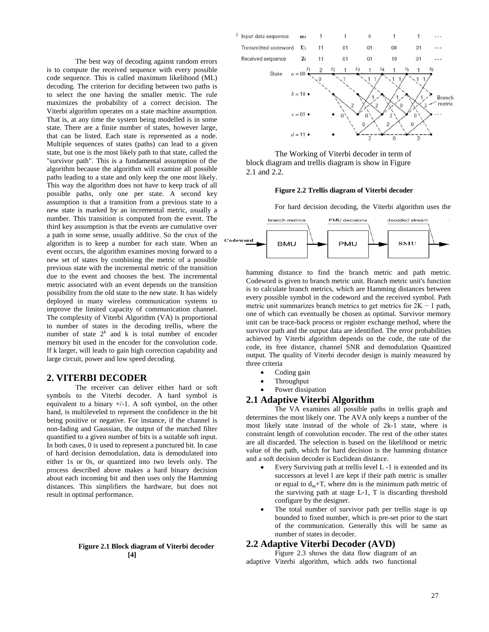The best way of decoding against random errors is to compute the received sequence with every possible code sequence. This is called maximum likelihood (ML) decoding. The criterion for deciding between two paths is to select the one having the smaller metric. The rule maximizes the probability of a correct decision. The Viterbi algorithm operates on a state machine assumption. That is, at any time the system being modelled is in some state. There are a finite number of states, however large, that can be listed. Each state is represented as a node. Multiple sequences of states (paths) can lead to a given state, but one is the most likely path to that state, called the "survivor path". This is a fundamental assumption of the algorithm because the algorithm will examine all possible paths leading to a state and only keep the one most likely. This way the algorithm does not have to keep track of all possible paths, only one per state. A second key assumption is that a transition from a previous state to a new state is marked by an incremental metric, usually a number. This transition is computed from the event. The third key assumption is that the events are cumulative over a path in some sense, usually additive. So the crux of the algorithm is to keep a number for each state. When an event occurs, the algorithm examines moving forward to a new set of states by combining the metric of a possible previous state with the incremental metric of the transition due to the event and chooses the best. The incremental metric associated with an event depends on the transition possibility from the old state to the new state. It has widely deployed in many wireless communication systems to improve the limited capacity of communication channel. The complexity of Viterbi Algorithm (VA) is proportional to number of states in the decoding trellis, where the number of state  $2^k$  and k is total number of encoder memory bit used in the encoder for the convolution code. If k larger, will leads to gain high correction capability and large circuit, power and low speed decoding.

# **2. VITERBI DECODER**

The receiver can deliver either hard or soft symbols to the Viterbi decoder. A hard symbol is equivalent to a binary +/-1. A soft symbol, on the other hand, is multileveled to represent the confidence in the bit being positive or negative. For instance, if the channel is non-fading and Gaussian, the output of the matched filter quantified to a given number of bits is a suitable soft input. In both cases, 0 is used to represent a punctured bit. In case of hard decision demodulation, data is demodulated into either 1s or 0s, or quantized into two levels only. The process described above makes a hard binary decision about each incoming bit and then uses only the Hamming distances. This simplifiers the hardware, but does not result in optimal performance.

#### **Figure 2.1 Block diagram of Viterbi decoder [4]**



The Working of Viterbi decoder in term of block diagram and trellis diagram is show in Figure 2.1 and 2.2.

#### **Figure 2.2 Trellis diagram of Viterbi decoder**

For hard decision decoding, the Viterbi algorithm uses the



hamming distance to find the branch metric and path metric. Codeword is given to branch metric unit. Branch metric unit's function is to calculate branch metrics, which are Hamming distances between every possible symbol in the codeword and the received symbol. Path metric unit summarizes branch metrics to get metrics for  $2K - 1$  path, one of which can eventually be chosen as optimal. Survivor memory unit can be trace-back process or register exchange method, where the survivor path and the output data are identified. The error probabilities achieved by Viterbi algorithm depends on the code, the rate of the code, its free distance, channel SNR and demodulation Quantized output. The quality of Viterbi decoder design is mainly measured by three criteria

- Coding gain
- Throughput
- Power dissipation

## **2.1 Adaptive Viterbi Algorithm**

The VA examines all possible paths in trellis graph and determines the most likely one. The AVA only keeps a number of the most likely state instead of the whole of 2k-1 state, where is constraint length of convolution encoder. The rest of the other states are all discarded. The selection is based on the likelihood or metric value of the path, which for hard decision is the hamming distance and a soft decision decoder is Euclidean distance.

- Every Surviving path at trellis level L -1 is extended and its successors at level l are kept if their path metric is smaller or equal to  $d_m+T$ , where dm is the minimum path metric of the surviving path at stage L-1, T is discarding threshold configure by the designer.
- The total number of survivor path per trellis stage is up bounded to fixed number, which is pre-set prior to the start of the communication. Generally this will be same as number of states in decoder.

#### **2.2 Adaptive Viterbi Decoder (AVD)**

Figure 2.3 shows the data flow diagram of an adaptive Viterbi algorithm, which adds two functional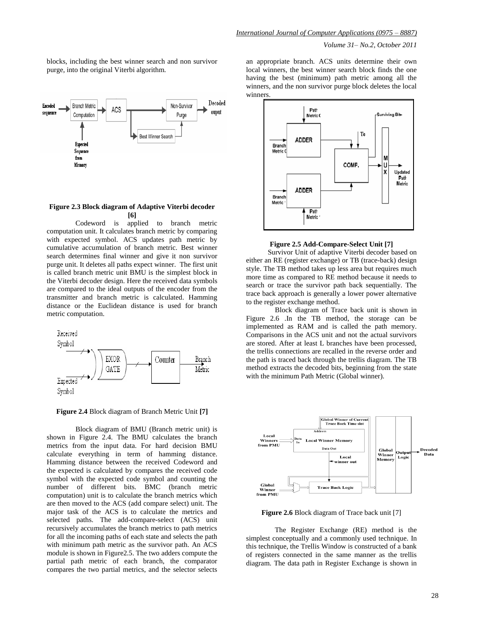*Volume 31– No.2, October 2011*

blocks, including the best winner search and non survivor purge, into the original Viterbi algorithm.



#### **Figure 2.3 Block diagram of Adaptive Viterbi decoder [6]**

Codeword is applied to branch metric computation unit. It calculates branch metric by comparing with expected symbol. ACS updates path metric by cumulative accumulation of branch metric. Best winner search determines final winner and give it non survivor purge unit. It deletes all paths expect winner. The first unit is called branch metric unit BMU is the simplest block in the Viterbi decoder design. Here the received data symbols are compared to the ideal outputs of the encoder from the transmitter and branch metric is calculated. Hamming distance or the Euclidean distance is used for branch metric computation.



**Figure 2.4** Block diagram of Branch Metric Unit **[7]**

Block diagram of BMU (Branch metric unit) is shown in Figure 2.4. The BMU calculates the branch metrics from the input data. For hard decision BMU calculate everything in term of hamming distance. Hamming distance between the received Codeword and the expected is calculated by compares the received code symbol with the expected code symbol and counting the number of different bits. BMC (branch metric computation) unit is to calculate the branch metrics which are then moved to the ACS (add compare select) unit. The major task of the ACS is to calculate the metrics and selected paths. The add-compare-select (ACS) unit recursively accumulates the branch metrics to path metrics for all the incoming paths of each state and selects the path with minimum path metric as the survivor path. An ACS module is shown in Figure2.5. The two adders compute the partial path metric of each branch, the comparator compares the two partial metrics, and the selector selects an appropriate branch. ACS units determine their own local winners, the best winner search block finds the one having the best (minimum) path metric among all the winners, and the non survivor purge block deletes the local winners.



#### **Figure 2.5 Add-Compare-Select Unit [7]**

 Survivor Unit of adaptive Viterbi decoder based on either an RE (register exchange) or TB (trace-back) design style. The TB method takes up less area but requires much more time as compared to RE method because it needs to search or trace the survivor path back sequentially. The trace back approach is generally a lower power alternative to the register exchange method.

Block diagram of Trace back unit is shown in Figure 2.6 .In the TB method, the storage can be implemented as RAM and is called the path memory. Comparisons in the ACS unit and not the actual survivors are stored. After at least L branches have been processed, the trellis connections are recalled in the reverse order and the path is traced back through the trellis diagram. The TB method extracts the decoded bits, beginning from the state with the minimum Path Metric (Global winner).



**Figure 2.6** Block diagram of Trace back unit [7]

The Register Exchange (RE) method is the simplest conceptually and a commonly used technique. In this technique, the Trellis Window is constructed of a bank of registers connected in the same manner as the trellis diagram. The data path in Register Exchange is shown in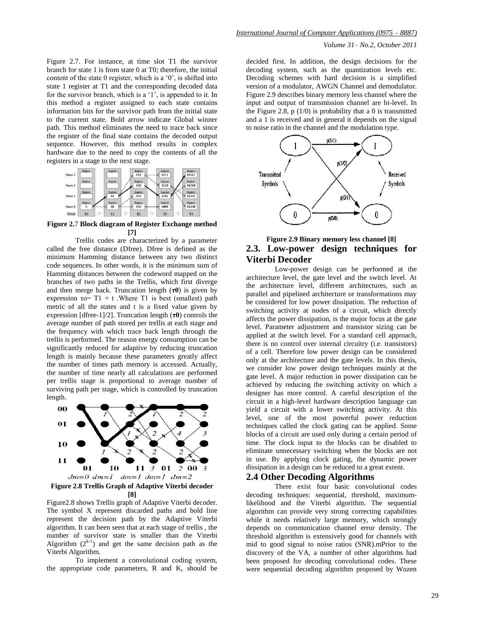Figure 2.7. For instance, at time slot T1 the survivor branch for state 1 is from state 0 at T0; therefore, the initial content of the state  $0$  register, which is a  $0$ ', is shifted into state 1 register at T1 and the corresponding decoded data for the survivor branch, which is a '1', is appended to it. In this method a register assigned to each state contains information bits for the survivor path from the initial state to the current state. Bold arrow indicate Global winner path. This method eliminates the need to trace back since the register of the final state contains the decoded output sequence. However, this method results in complex hardware due to the need to copy the contents of all the registers in a stage to the next stage.



**Figure 2.**7 **Block diagram of Register Exchange method [7]**

Trellis codes are characterized by a parameter called the free distance (Dfree). Dfree is defined as the minimum Hamming distance between any two distinct code sequences. In other words, it is the minimum sum of Hamming distances between the codeword mapped on the branches of two paths in the Trellis, which first diverge and then merge back. Truncation length (**τ0**) is given by expression  $\tau_0 = T1 + t$ . Where T1 is best (smallest) path metric of all the states and t is a fixed value given by expression [dfree-1]/2]. Truncation length (**τ0**) controls the average number of path stored per trellis at each stage and the frequency with which trace back length through the trellis is performed. The reason energy consumption can be significantly reduced for adaptive by reducing truncation length is mainly because these parameters greatly affect the number of times path memory is accessed. Actually, the number of time nearly all calculations are performed per trellis stage is proportional to average number of surviving path per stage, which is controlled by truncation length.



Figure2.8 shows Trellis graph of Adaptive Viterbi decoder. The symbol X represent discarded paths and bold line represent the decision path by the Adaptive Viterbi algorithm. It can been seen that at each stage of trellis , the number of survivor state is smaller than the Viterbi Algorithm  $(2^{k-1})$  and get the same decision path as the Viterbi Algorithm.

To implement a convolutional coding system, the appropriate code parameters, R and K, should be *Volume 31– No.2, October 2011*

decided first. In addition, the design decisions for the decoding system, such as the quantization levels etc. Decoding schemes with hard decision is a simplified version of a modulator, AWGN Channel and demodulator. Figure 2.9 describes binary memory less channel where the input and output of transmission channel are bi-level. In the Figure 2.8,  $p(1/0)$  is probability that a 0 is transmitted and a 1 is received and in general it depends on the signal to noise ratio in the channel and the modulation type.



# **Figure 2.9 Binary memory less channel [8] 2.3. Low-power design techniques for Viterbi Decoder**

Low-power design can be performed at the architecture level, the gate level and the switch level. At the architecture level, different architectures, such as parallel and pipelined architecture or transformations may be considered for low power dissipation. The reduction of switching activity at nodes of a circuit, which directly affects the power dissipation, is the major focus at the gate level. Parameter adjustment and transistor sizing can be applied at the switch level. For a standard cell approach, there is no control over internal circuitry (i.e. transistors) of a cell. Therefore low power design can be considered only at the architecture and the gate levels. In this thesis, we consider low power design techniques mainly at the gate level. A major reduction in power dissipation can be achieved by reducing the switching activity on which a designer has more control. A careful description of the circuit in a high-level hardware description language can yield a circuit with a lower switching activity. At this level, one of the most powerful power reduction techniques called the clock gating can be applied. Some blocks of a circuit are used only during a certain period of time. The clock input to the blocks can be disabled to eliminate unnecessary switching when the blocks are not in use. By applying clock gating, the dynamic power dissipation in a design can be reduced to a great extent.

#### **2.4 Other Decoding Algorithms**

There exist four basic convolutional codes decoding techniques: sequential, threshold, maximumlikelihood and the Viterbi algorithm. The sequential algorithm can provide very strong correcting capabilities while it needs relatively large memory, which strongly depends on communication channel error density. The threshold algorithm is extensively good for channels with mid to good signal to noise ratios (SNR).mPrior to the discovery of the VA, a number of other algorithms had been proposed for decoding convolutional codes. These were sequential decoding algorithm proposed by Wozen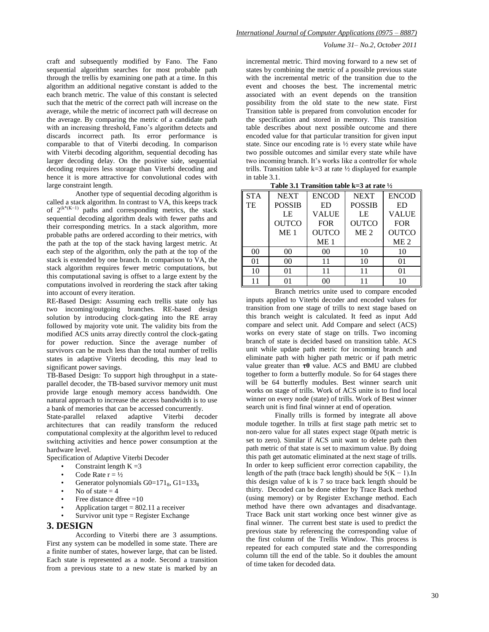craft and subsequently modified by Fano. The Fano sequential algorithm searches for most probable path through the trellis by examining one path at a time. In this algorithm an additional negative constant is added to the each branch metric. The value of this constant is selected such that the metric of the correct path will increase on the average, while the metric of incorrect path will decrease on the average. By comparing the metric of a candidate path with an increasing threshold, Fano"s algorithm detects and discards incorrect path. Its error performance is comparable to that of Viterbi decoding. In comparison with Viterbi decoding algorithm, sequential decoding has larger decoding delay. On the positive side, sequential decoding requires less storage than Viterbi decoding and hence it is more attractive for convolutional codes with large constraint length.

Another type of sequential decoding algorithm is called a stack algorithm. In contrast to VA, this keeps track of  $2^{(k*(K-1))}$  paths and corresponding metrics, the stack sequential decoding algorithm deals with fewer paths and their corresponding metrics. In a stack algorithm, more probable paths are ordered according to their metrics, with the path at the top of the stack having largest metric. At each step of the algorithm, only the path at the top of the stack is extended by one branch. In comparison to VA, the stack algorithm requires fewer metric computations, but this computational saving is offset to a large extent by the computations involved in reordering the stack after taking into account of every iteration.

RE-Based Design: Assuming each trellis state only has two incoming/outgoing branches. RE-based design solution by introducing clock-gating into the RE array followed by majority vote unit. The validity bits from the modified ACS units array directly control the clock-gating for power reduction. Since the average number of survivors can be much less than the total number of trellis states in adaptive Viterbi decoding, this may lead to significant power savings.

TB-Based Design: To support high throughput in a stateparallel decoder, the TB-based survivor memory unit must provide large enough memory access bandwidth. One natural approach to increase the access bandwidth is to use a bank of memories that can be accessed concurrently.

State-parallel relaxed adaptive Viterbi decoder architectures that can readily transform the reduced computational complexity at the algorithm level to reduced switching activities and hence power consumption at the hardware level.

Specification of Adaptive Viterbi Decoder

- Constraint length  $K = 3$
- Code Rate  $r = \frac{1}{2}$
- Generator polynomials  $G0=171_8$ ,  $G1=133_8$
- No of state  $= 4$
- Free distance dfree  $=10$
- Application target  $= 802.11$  a receiver
- Survivor unit type  $=$  Register Exchange

# **3. DESIGN**

According to Viterbi there are 3 assumptions. First any system can be modelled in some state. There are a finite number of states, however large, that can be listed. Each state is represented as a node. Second a transition from a previous state to a new state is marked by an

## *Volume 31– No.2, October 2011*

incremental metric. Third moving forward to a new set of states by combining the metric of a possible previous state with the incremental metric of the transition due to the event and chooses the best. The incremental metric associated with an event depends on the transition possibility from the old state to the new state. First Transition table is prepared from convolution encoder for the specification and stored in memory. This transition table describes about next possible outcome and there encoded value for that particular transition for given input state. Since our encoding rate is ½ every state while have two possible outcomes and similar every state while have two incoming branch. It's works like a controller for whole trills. Transition table  $k=3$  at rate  $\frac{1}{2}$  displayed for example in table 3.1.<br> $$ **Table 3.1 Transition table k=3 at rate ½** 

|  | Table 3.1 Transition table k=3 at rate $\frac{1}{2}$ |  |  |
|--|------------------------------------------------------|--|--|
|  |                                                      |  |  |
|  |                                                      |  |  |

| <b>STA</b>     | <b>NEXT</b>     | <b>ENCOD</b>    | <b>NEXT</b>     | <b>ENCOD</b>    |  |
|----------------|-----------------|-----------------|-----------------|-----------------|--|
| TE             | <b>POSSIB</b>   | ED              | <b>POSSIB</b>   | ED              |  |
|                | LE              | VALUE           | LE              | <b>VALUE</b>    |  |
|                | <b>OUTCO</b>    | <b>FOR</b>      | <b>OUTCO</b>    | <b>FOR</b>      |  |
|                | ME <sub>1</sub> | <b>OUTCO</b>    | ME <sub>2</sub> | <b>OUTCO</b>    |  |
|                |                 | ME <sub>1</sub> |                 | ME <sub>2</sub> |  |
| 0 <sup>0</sup> | 00              | 0 <sup>0</sup>  | 10              | 10              |  |
| 01             | 00              | 11              | 10              | 01              |  |
| 10             |                 |                 |                 |                 |  |
| 11             |                 | ററ              |                 | 10              |  |

Branch metrics unite used to compare encoded inputs applied to Viterbi decoder and encoded values for transition from one stage of trills to next stage based on this branch weight is calculated. It feed as input Add compare and select unit. Add Compare and select (ACS) works on every state of stage on trills. Two incoming branch of state is decided based on transition table. ACS unit while update path metric for incoming branch and eliminate path with higher path metric or if path metric value greater than **τ0** value. ACS and BMU are clubbed together to form a butterfly module. So for 64 stages there will be 64 butterfly modules. Best winner search unit works on stage of trills. Work of ACS unite is to find local winner on every node (state) of trills. Work of Best winner search unit is find final winner at end of operation.

Finally trills is formed by integrate all above module together. In trills at first stage path metric set to non-zero value for all states expect stage 0(path metric is set to zero). Similar if ACS unit want to delete path then path metric of that state is set to maximum value. By doing this path get automatic eliminated at the next stage of trills. In order to keep sufficient error correction capability, the length of the path (trace back length) should be  $5(K - 1)$ . In this design value of k is 7 so trace back length should be thirty. Decoded can be done either by Trace Back method (using memory) or by Register Exchange method. Each method have there own advantages and disadvantage. Trace Back unit start working once best winner give as final winner. The current best state is used to predict the previous state by referencing the corresponding value of the first column of the Trellis Window. This process is repeated for each computed state and the corresponding column till the end of the table. So it doubles the amount of time taken for decoded data.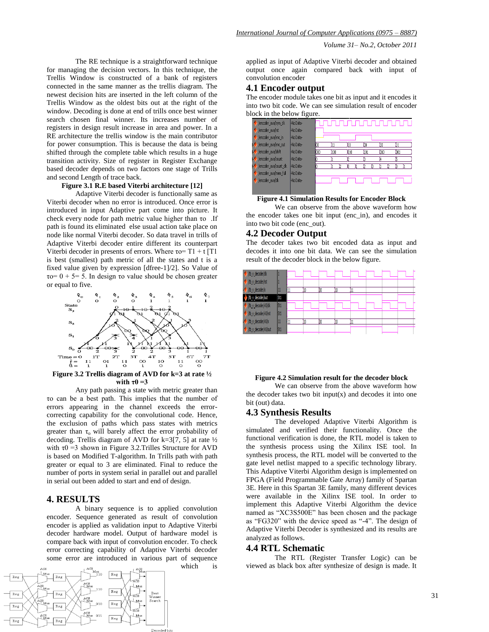The RE technique is a straightforward technique for managing the decision vectors. In this technique, the Trellis Window is constructed of a bank of registers connected in the same manner as the trellis diagram. The newest decision hits are inserted in the left column of the Trellis Window as the oldest bits out at the right of the window. Decoding is done at end of trills once best winner search chosen final winner. Its increases number of registers in design result increase in area and power. In a RE architecture the trellis window is the main contributor for power consumption. This is because the data is being shifted through the complete table which results in a huge transition activity. Size of register in Register Exchange based decoder depends on two factors one stage of Trills and second Length of trace back.

#### **Figure 3.1 R.E based Viterbi architecture [12]**

Adaptive Viterbi decoder is functionally same as Viterbi decoder when no error is introduced. Once error is introduced in input Adaptive part come into picture. It check every node for path metric value higher than τo .If path is found its eliminated else usual action take place on node like normal Viterbi decoder. So data travel in trills of Adaptive Viterbi decoder entire different its counterpart Viterbi decoder in presents of errors. Where  $\tau$ o= T1 + t [T1 is best (smallest) path metric of all the states and t is a fixed value given by expression [dfree-1]/2]. So Value of τo= 0 + 5= 5. In design τo value should be chosen greater or equal to five.



Any path passing a state with metric greater than τo can be a best path. This implies that the number of errors appearing in the channel exceeds the errorcorrecting capability for the convolutional code. Hence, the exclusion of paths which pass states with metrics greater than  $\tau_0$  will barely affect the error probability of decoding. Trellis diagram of AVD for k=3[7, 5] at rate ½ with  $\tau$ 0 =3 shown in Figure 3.2.Trilles Structure for AVD is based on Modified T-algorithm. In Trills path with path greater or equal to 3 are eliminated. Final to reduce the number of ports in system serial in parallel out and parallel in serial out been added to start and end of design.

## **4. RESULTS**

A binary sequence is to applied convolution encoder. Sequence generated as result of convolution encoder is applied as validation input to Adaptive Viterbi decoder hardware model. Output of hardware model is compare back with input of convolution encoder. To check error correcting capability of Adaptive Viterbi decoder some error are introduced in various part of sequence which is



applied as input of Adaptive Viterbi decoder and obtained output once again compared back with input of convolution encoder

## **4.1 Encoder output**

The encoder module takes one bit as input and it encodes it into two bit code. We can see simulation result of encoder block in the below figure.



**Figure 4.1 Simulation Results for Encoder Block**

We can observe from the above waveform how the encoder takes one bit input (enc\_in), and encodes it into two bit code (enc\_out).

### **4.2 Decoder Output**

The decoder takes two bit encoded data as input and decodes it into one bit data. We can see the simulation result of the decoder block in the below figure.



#### **Figure 4.2 Simulation result for the decoder block**

We can observe from the above waveform how the decoder takes two bit input $(x)$  and decodes it into one bit (out) data.

#### **4.3 Synthesis Results**

The developed Adaptive Viterbi Algorithm is simulated and verified their functionality. Once the functional verification is done, the RTL model is taken to the synthesis process using the Xilinx ISE tool. In synthesis process, the RTL model will be converted to the gate level netlist mapped to a specific technology library. This Adaptive Viterbi Algorithm design is implemented on FPGA (Field Programmable Gate Array) family of Spartan 3E. Here in this Spartan 3E family, many different devices were available in the Xilinx ISE tool. In order to implement this Adaptive Viterbi Algorithm the device named as "XC3S500E" has been chosen and the package as "FG320" with the device speed as "-4". The design of Adaptive Viterbi Decoder is synthesized and its results are analyzed as follows.

## **4.4 RTL Schematic**

The RTL (Register Transfer Logic) can be viewed as black box after synthesize of design is made. It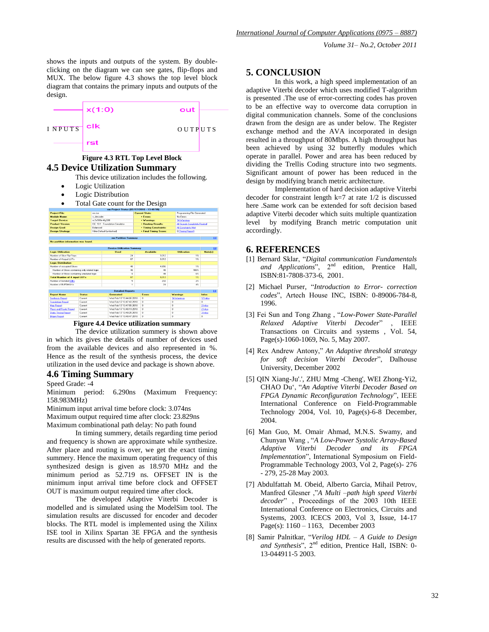shows the inputs and outputs of the system. By doubleclicking on the diagram we can see gates, flip-flops and MUX. The below figure 4.3 shows the top level block diagram that contains the primary inputs and outputs of the design.



# **Figure 4.3 RTL Top Level Block 4.5 Device Utilization Summary**

This device utilization includes the following.

- Logic Utilization
- Logic Distribution
- Total Gate count for the Design

| nm Project Status (02/17/2010 - 13:48:50)      |                 |                                                    |                                                       |                       |                      |                               |  |  |  |  |  |
|------------------------------------------------|-----------------|----------------------------------------------------|-------------------------------------------------------|-----------------------|----------------------|-------------------------------|--|--|--|--|--|
| <b>Project File:</b><br>nmise                  |                 |                                                    | <b>Current State:</b>                                 |                       |                      | Programming File Generated    |  |  |  |  |  |
| <b>Module Name:</b>                            | v. decoder      |                                                    | $-$ Errors:                                           |                       | No Errors            |                               |  |  |  |  |  |
| <b>Target Device:</b>                          | xc3s500e-4fg320 |                                                    | · Warnings:                                           |                       | 14 Warnings          |                               |  |  |  |  |  |
| <b>Product Version:</b>                        |                 | ISE 10.1 - Foundation Simulator                    |                                                       | · Routing Results:    |                      | All Signals Completely Routed |  |  |  |  |  |
| <b>Design Goal:</b><br>Balanced                |                 |                                                    |                                                       | . Timing Constraints: |                      |                               |  |  |  |  |  |
| <b>Design Strategy:</b>                        |                 | Xilinx Default (unlooked)<br>. Final Timing Score: |                                                       | 0 (Timing Report)     |                      |                               |  |  |  |  |  |
|                                                |                 |                                                    |                                                       |                       |                      |                               |  |  |  |  |  |
|                                                |                 | nm Partition Summary                               |                                                       |                       |                      | ы                             |  |  |  |  |  |
| No partition information was found.            |                 |                                                    |                                                       |                       |                      |                               |  |  |  |  |  |
|                                                |                 |                                                    |                                                       |                       |                      |                               |  |  |  |  |  |
|                                                |                 | Used                                               | <b>Device Utilization Summary</b><br><b>Available</b> |                       | <b>Utilization</b>   | EF.<br><b>Note(s)</b>         |  |  |  |  |  |
| <b>Logic Utilization</b>                       |                 | 24                                                 |                                                       | 9.312                 | 12                   |                               |  |  |  |  |  |
| Number of Slice Flip Flops                     |                 | R7                                                 |                                                       |                       | 12                   |                               |  |  |  |  |  |
| Number of 4 input LUTs                         |                 |                                                    |                                                       | 9.312                 |                      |                               |  |  |  |  |  |
| <b>Logic Distribution</b>                      |                 | 4R                                                 |                                                       |                       | 12                   |                               |  |  |  |  |  |
| Number of occupied Slices                      |                 | 48                                                 |                                                       | 4.656<br>48           | 100%                 |                               |  |  |  |  |  |
| Number of Slices containing only related logic |                 |                                                    |                                                       |                       |                      |                               |  |  |  |  |  |
| Number of Slices containing unrelated logic    |                 | $\mathbf{a}$                                       |                                                       | <b>AR</b>             | D30                  |                               |  |  |  |  |  |
| <b>Total Number of 4 input LUTs</b>            |                 | R7                                                 |                                                       | 9.312                 | 1 <sup>2</sup><br>2% |                               |  |  |  |  |  |
| Number of bonded IOBs                          |                 | 5                                                  |                                                       | 232                   |                      |                               |  |  |  |  |  |
| Number of BUFGMUXs                             |                 | ٠                                                  |                                                       | 24                    | 4%                   |                               |  |  |  |  |  |
| 14<br><b>Detailed Reports</b>                  |                 |                                                    |                                                       |                       |                      |                               |  |  |  |  |  |
| <b>Benott Name</b>                             | Status          | Generated                                          | <b>Euors</b>                                          |                       | Warnings             | Infox                         |  |  |  |  |  |
| <b>Synthesis Report</b>                        | Current         | Wed Feb 17 13:44:06 2010                           | $\overline{0}$                                        |                       | 14 Wamings           | 17 Infos                      |  |  |  |  |  |
| <b>Translation Report</b>                      | Current         | Wed Eeb 17 13:47:43.2010                           | n                                                     | $\overline{0}$        |                      | $\Omega$                      |  |  |  |  |  |
| Map Report<br>Current                          |                 | Wed Feb 17 13:47:55 2010                           | o                                                     | $\Omega$              |                      | 2 Infos                       |  |  |  |  |  |
| <b>Place and Route Report</b><br>Current       |                 | Wed Eeb 17 13:48:19.2010                           | n                                                     | $\overline{0}$        |                      | 2 Infos                       |  |  |  |  |  |
| <b>Static Timing Report</b><br>Current         |                 | Wed Feb 17 13:48:25.2010                           | n.                                                    | $\overline{a}$        |                      | 31nfos                        |  |  |  |  |  |
| <b>Bitgen Fleport</b>                          | <b>Current</b>  | Wed Feb 17 13 48:47 2010                           | n                                                     | $\overline{0}$        |                      | $\bf{0}$                      |  |  |  |  |  |

**Figure 4.4 Device utilization summary**

The device utilization summery is shown above in which its gives the details of number of devices used from the available devices and also represented in %. Hence as the result of the synthesis process, the device utilization in the used device and package is shown above.

# **4.6 Timing Summary**

Speed Grade: -4

Minimum period: 6.290ns (Maximum Frequency: 158.983MHz)

Minimum input arrival time before clock: 3.074ns Maximum output required time after clock: 23.829ns

Maximum combinational path delay: No path found

In timing summery, details regarding time period and frequency is shown are approximate while synthesize. After place and routing is over, we get the exact timing summery. Hence the maximum operating frequency of this synthesized design is given as 18.970 MHz and the minimum period as 52.719 ns. OFFSET IN is the minimum input arrival time before clock and OFFSET OUT is maximum output required time after clock.

The developed Adaptive Viterbi Decoder is modelled and is simulated using the ModelSim tool. The simulation results are discussed for encoder and decoder blocks. The RTL model is implemented using the Xilinx ISE tool in Xilinx Spartan 3E FPGA and the synthesis results are discussed with the help of generated reports.

## **5. CONCLUSION**

In this work, a high speed implementation of an adaptive Viterbi decoder which uses modified T-algorithm is presented .The use of error-correcting codes has proven to be an effective way to overcome data corruption in digital communication channels. Some of the conclusions drawn from the design are as under below. The Register exchange method and the AVA incorporated in design resulted in a throughput of 80Mbps. A high throughput has been achieved by using 32 butterfly modules which operate in parallel. Power and area has been reduced by dividing the Trellis Coding structure into two segments. Significant amount of power has been reduced in the design by modifying branch metric architecture.

Implementation of hard decision adaptive Viterbi decoder for constraint length k=7 at rate 1/2 is discussed here .Same work can be extended for soft decision based adaptive Viterbi decoder which suits multiple quantization level by modifying Branch metric computation unit accordingly.

## **6. REFERENCES**

- [1] Bernard Sklar, "*Digital communication Fundamentals* and Applications", 2<sup>nd</sup> edition, Prentice Hall, ISBN:81-7808-373-6, 2001.
- [2] Michael Purser, "*Introduction to Error- correction codes*", Artech House INC, ISBN: 0-89006-784-8, 1996.
- [3] Fei Sun and Tong Zhang , "*Low-Power State-Parallel Relaxed Adaptive Viterbi Decoder*" , IEEE Transactions on Circuits and systems , Vol. 54, Page(s)-1060-1069, No. 5, May 2007.
- [4] Rex Andrew Antony," *An Adaptive threshold strategy for soft decision Viterbi Decoder*", Dalhouse University, December 2002
- [5] OIN Xiang-Ju'.', ZHU Mmg -Cheng', WEI Zhong-Yi2, CHAO Du", "*An Adaptive Viterbi Decoder Based on FPGA Dynamic Reconfiguration Technology*", IEEE International Conference on Field-Programmable Technology 2004, Vol. 10, Page(s)-6-8 December, 2004.
- [6] Man Guo, M. Omair Ahmad, M.N.S. Swamy, and Chunyan Wang , "*A Low-Power Systolic Array-Based Adaptive Viterbi Decoder and its FPGA Implementation*", International Symposium on Field-Programmable Technology 2003, Vol 2, Page(s)- 276 - 279, 25-28 May 2003.
- [7] Abdulfattah M. Obeid, Alberto Garcia, Mihail Petrov, Manfred Glesner ,"*A Multi –path high speed Viterbi decoder*" , Proceedings of the 2003 10th IEEE International Conference on Electronics, Circuits and Systems, 2003. ICECS 2003, Vol 3, Issue, 14-17 Page(s): 1160 – 1163, December 2003
- [8] Samir Palnitkar, "*Verilog HDL – A Guide to Design*  and Synthesis", 2<sup>nd</sup> edition, Prentice Hall, ISBN: 0-13-044911-5 2003.